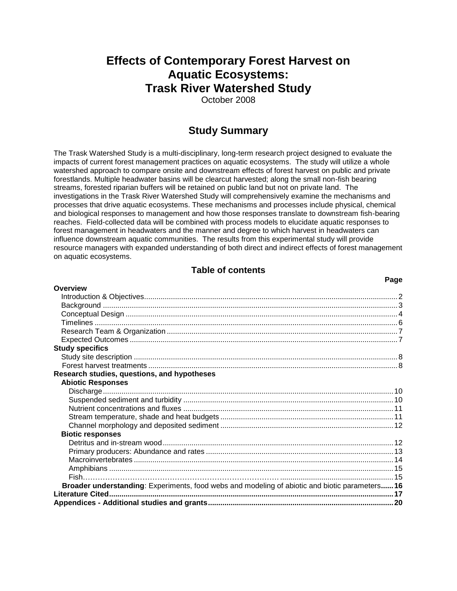# **Effects of Contemporary Forest Harvest on Aquatic Ecosystems: Trask River Watershed Study**

October 2008

# **Study Summary**

The Trask Watershed Study is a multi-disciplinary, long-term research project designed to evaluate the impacts of current forest management practices on aquatic ecosystems. The study will utilize a whole watershed approach to compare onsite and downstream effects of forest harvest on public and private forestlands. Multiple headwater basins will be clearcut harvested; along the small non-fish bearing streams, forested riparian buffers will be retained on public land but not on private land. The investigations in the Trask River Watershed Study will comprehensively examine the mechanisms and processes that drive aquatic ecosystems. These mechanisms and processes include physical, chemical and biological responses to management and how those responses translate to downstream fish-bearing reaches. Field-collected data will be combined with process models to elucidate aquatic responses to forest management in headwaters and the manner and degree to which harvest in headwaters can influence downstream aquatic communities. The results from this experimental study will provide resource managers with expanded understanding of both direct and indirect effects of forest management on aquatic ecosystems.

# **Table of contents**

 **Page**

<span id="page-0-0"></span>

| <b>Overview</b>                                                                                |  |
|------------------------------------------------------------------------------------------------|--|
|                                                                                                |  |
|                                                                                                |  |
|                                                                                                |  |
|                                                                                                |  |
|                                                                                                |  |
|                                                                                                |  |
| <b>Study specifics</b>                                                                         |  |
|                                                                                                |  |
|                                                                                                |  |
| Research studies, questions, and hypotheses                                                    |  |
| <b>Abiotic Responses</b>                                                                       |  |
|                                                                                                |  |
|                                                                                                |  |
|                                                                                                |  |
|                                                                                                |  |
|                                                                                                |  |
| <b>Biotic responses</b>                                                                        |  |
|                                                                                                |  |
|                                                                                                |  |
|                                                                                                |  |
|                                                                                                |  |
|                                                                                                |  |
| Broader understanding: Experiments, food webs and modeling of abiotic and biotic parameters 16 |  |
|                                                                                                |  |
|                                                                                                |  |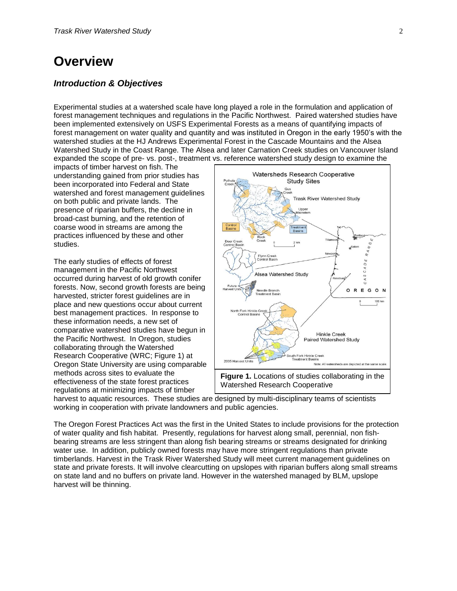# **Overview**

# <span id="page-1-0"></span>*Introduction & Objectives*

Experimental studies at a watershed scale have long played a role in the formulation and application of forest management techniques and regulations in the Pacific Northwest. Paired watershed studies have been implemented extensively on USFS Experimental Forests as a means of quantifying impacts of forest management on water quality and quantity and was instituted in Oregon in the early 1950's with the watershed studies at the HJ Andrews Experimental Forest in the Cascade Mountains and the Alsea Watershed Study in the Coast Range. The Alsea and later Carnation Creek studies on Vancouver Island expanded the scope of pre- vs. post-, treatment vs. reference watershed study design to examine the

impacts of timber harvest on fish. The understanding gained from prior studies has been incorporated into Federal and State watershed and forest management guidelines on both public and private lands. The presence of riparian buffers, the decline in broad-cast burning, and the retention of coarse wood in streams are among the practices influenced by these and other studies.

The early studies of effects of forest management in the Pacific Northwest occurred during harvest of old growth conifer forests. Now, second growth forests are being harvested, stricter forest guidelines are in place and new questions occur about current best management practices. In response to these information needs, a new set of comparative watershed studies have begun in the Pacific Northwest. In Oregon, studies collaborating through the Watershed Research Cooperative (WRC; Figure 1) at Oregon State University are using comparable methods across sites to evaluate the effectiveness of the state forest practices regulations at minimizing impacts of timber



**Figure 1.** Locations of studies collaborating in the Watershed Research Cooperative

harvest to aquatic resources. These studies are designed by multi-disciplinary teams of scientists working in cooperation with private landowners and public agencies.

The Oregon Forest Practices Act was the first in the United States to include provisions for the protection of water quality and fish habitat. Presently, regulations for harvest along small, perennial, non fishbearing streams are less stringent than along fish bearing streams or streams designated for drinking water use. In addition, publicly owned forests may have more stringent regulations than private timberlands. Harvest in the Trask River Watershed Study will meet current management guidelines on state and private forests. It will involve clearcutting on upslopes with riparian buffers along small streams on state land and no buffers on private land. However in the watershed managed by BLM, upslope harvest will be thinning.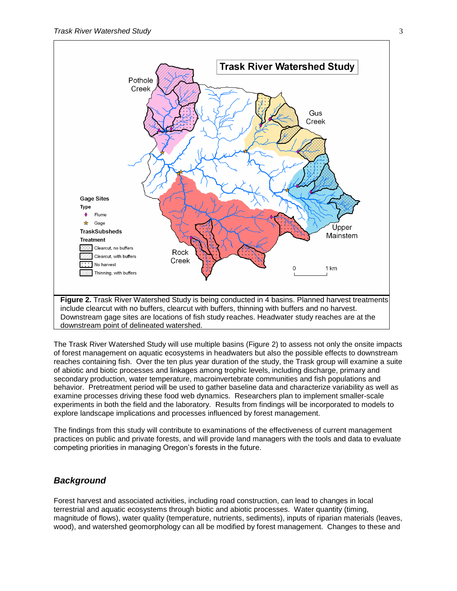

The Trask River Watershed Study will use multiple basins (Figure 2) to assess not only the onsite impacts of forest management on aquatic ecosystems in headwaters but also the possible effects to downstream reaches containing fish. Over the ten plus year duration of the study, the Trask group will examine a suite of abiotic and biotic processes and linkages among trophic levels, including discharge, primary and secondary production, water temperature, macroinvertebrate communities and fish populations and behavior. Pretreatment period will be used to gather baseline data and characterize variability as well as examine processes driving these food web dynamics. Researchers plan to implement smaller-scale experiments in both the field and the laboratory. Results from findings will be incorporated to models to explore landscape implications and processes influenced by forest management.

The findings from this study will contribute to examinations of the effectiveness of current management practices on public and private forests, and will provide land managers with the tools and data to evaluate competing priorities in managing Oregon's forests in the future.

# <span id="page-2-0"></span>*Background*

Forest harvest and associated activities, including road construction, can lead to changes in local terrestrial and aquatic ecosystems through biotic and abiotic processes. Water quantity (timing, magnitude of flows), water quality (temperature, nutrients, sediments), inputs of riparian materials (leaves, wood), and watershed geomorphology can all be modified by forest management. Changes to these and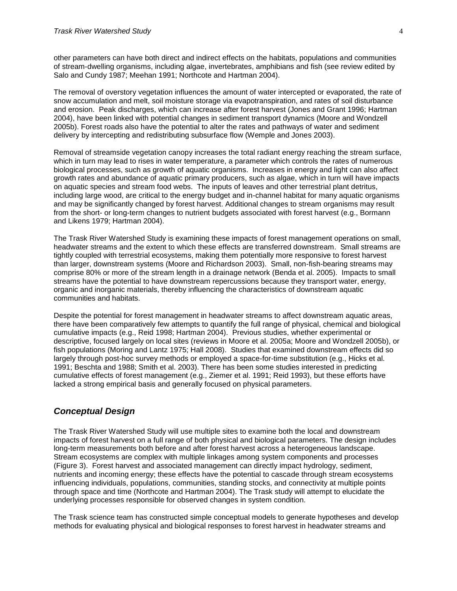other parameters can have both direct and indirect effects on the habitats, populations and communities of stream-dwelling organisms, including algae, invertebrates, amphibians and fish (see review edited by Salo and Cundy 1987; Meehan 1991; Northcote and Hartman 2004).

The removal of overstory vegetation influences the amount of water intercepted or evaporated, the rate of snow accumulation and melt, soil moisture storage via evapotranspiration, and rates of soil disturbance and erosion. Peak discharges, which can increase after forest harvest (Jones and Grant 1996; Hartman 2004), have been linked with potential changes in sediment transport dynamics (Moore and Wondzell 2005b). Forest roads also have the potential to alter the rates and pathways of water and sediment delivery by intercepting and redistributing subsurface flow (Wemple and Jones 2003).

Removal of streamside vegetation canopy increases the total radiant energy reaching the stream surface, which in turn may lead to rises in water temperature, a parameter which controls the rates of numerous biological processes, such as growth of aquatic organisms. Increases in energy and light can also affect growth rates and abundance of aquatic primary producers, such as algae, which in turn will have impacts on aquatic species and stream food webs. The inputs of leaves and other terrestrial plant detritus, including large wood, are critical to the energy budget and in-channel habitat for many aquatic organisms and may be significantly changed by forest harvest. Additional changes to stream organisms may result from the short- or long-term changes to nutrient budgets associated with forest harvest (e.g., Bormann and Likens 1979; Hartman 2004).

The Trask River Watershed Study is examining these impacts of forest management operations on small, headwater streams and the extent to which these effects are transferred downstream. Small streams are tightly coupled with terrestrial ecosystems, making them potentially more responsive to forest harvest than larger, downstream systems (Moore and Richardson 2003). Small, non-fish-bearing streams may comprise 80% or more of the stream length in a drainage network (Benda et al. 2005). Impacts to small streams have the potential to have downstream repercussions because they transport water, energy, organic and inorganic materials, thereby influencing the characteristics of downstream aquatic communities and habitats.

Despite the potential for forest management in headwater streams to affect downstream aquatic areas, there have been comparatively few attempts to quantify the full range of physical, chemical and biological cumulative impacts (e.g., Reid 1998; Hartman 2004). Previous studies, whether experimental or descriptive, focused largely on local sites (reviews in Moore et al. 2005a; Moore and Wondzell 2005b), or fish populations (Moring and Lantz 1975; Hall 2008). Studies that examined downstream effects did so largely through post-hoc survey methods or employed a space-for-time substitution (e.g., Hicks et al. 1991; Beschta and 1988; Smith et al. 2003). There has been some studies interested in predicting cumulative effects of forest management (e.g., Ziemer et al. 1991; Reid 1993), but these efforts have lacked a strong empirical basis and generally focused on physical parameters.

# <span id="page-3-0"></span>*Conceptual Design*

The Trask River Watershed Study will use multiple sites to examine both the local and downstream impacts of forest harvest on a full range of both physical and biological parameters. The design includes long-term measurements both before and after forest harvest across a heterogeneous landscape. Stream ecosystems are complex with multiple linkages among system components and processes (Figure 3). Forest harvest and associated management can directly impact hydrology, sediment, nutrients and incoming energy; these effects have the potential to cascade through stream ecosystems influencing individuals, populations, communities, standing stocks, and connectivity at multiple points through space and time (Northcote and Hartman 2004). The Trask study will attempt to elucidate the underlying processes responsible for observed changes in system condition.

The Trask science team has constructed simple conceptual models to generate hypotheses and develop methods for evaluating physical and biological responses to forest harvest in headwater streams and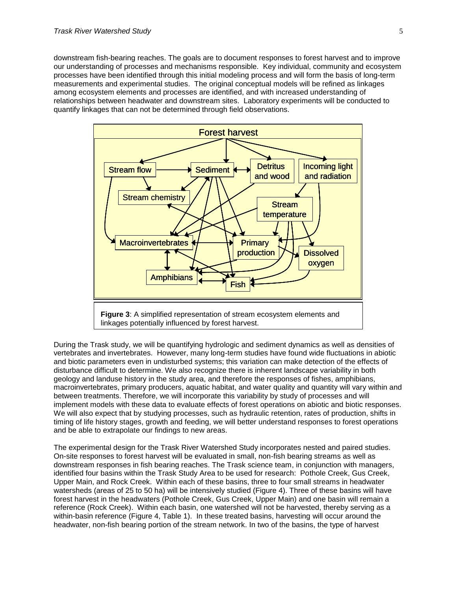downstream fish-bearing reaches. The goals are to document responses to forest harvest and to improve our understanding of processes and mechanisms responsible. Key individual, community and ecosystem processes have been identified through this initial modeling process and will form the basis of long-term measurements and experimental studies. The original conceptual models will be refined as linkages among ecosystem elements and processes are identified, and with increased understanding of relationships between headwater and downstream sites. Laboratory experiments will be conducted to quantify linkages that can not be determined through field observations.



During the Trask study, we will be quantifying hydrologic and sediment dynamics as well as densities of vertebrates and invertebrates. However, many long-term studies have found wide fluctuations in abiotic and biotic parameters even in undisturbed systems; this variation can make detection of the effects of disturbance difficult to determine. We also recognize there is inherent landscape variability in both geology and landuse history in the study area, and therefore the responses of fishes, amphibians, macroinvertebrates, primary producers, aquatic habitat, and water quality and quantity will vary within and between treatments. Therefore, we will incorporate this variability by study of processes and will implement models with these data to evaluate effects of forest operations on abiotic and biotic responses. We will also expect that by studying processes, such as hydraulic retention, rates of production, shifts in timing of life history stages, growth and feeding, we will better understand responses to forest operations and be able to extrapolate our findings to new areas.

The experimental design for the Trask River Watershed Study incorporates nested and paired studies. On-site responses to forest harvest will be evaluated in small, non-fish bearing streams as well as downstream responses in fish bearing reaches. The Trask science team, in conjunction with managers, identified four basins within the Trask Study Area to be used for research: Pothole Creek, Gus Creek, Upper Main, and Rock Creek. Within each of these basins, three to four small streams in headwater watersheds (areas of 25 to 50 ha) will be intensively studied (Figure 4). Three of these basins will have forest harvest in the headwaters (Pothole Creek, Gus Creek, Upper Main) and one basin will remain a reference (Rock Creek). Within each basin, one watershed will not be harvested, thereby serving as a within-basin reference (Figure 4, Table 1). In these treated basins, harvesting will occur around the headwater, non-fish bearing portion of the stream network. In two of the basins, the type of harvest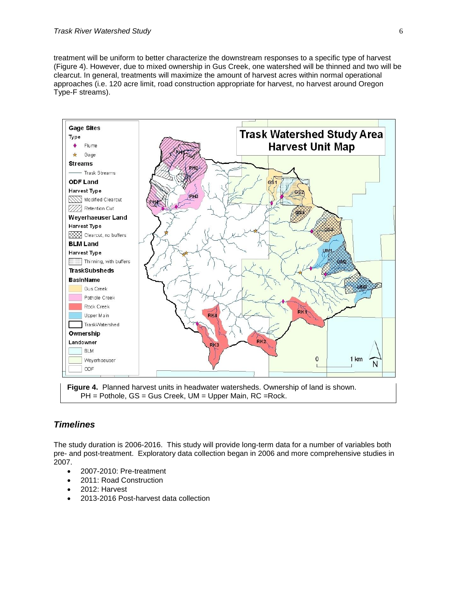treatment will be uniform to better characterize the downstream responses to a specific type of harvest (Figure 4). However, due to mixed ownership in Gus Creek, one watershed will be thinned and two will be clearcut. In general, treatments will maximize the amount of harvest acres within normal operational approaches (i.e. 120 acre limit, road construction appropriate for harvest, no harvest around Oregon Type-F streams).



**Figure 4.** Planned harvest units in headwater watersheds. Ownership of land is shown. PH = Pothole, GS = Gus Creek, UM = Upper Main, RC =Rock.

# <span id="page-5-0"></span>*Timelines*

The study duration is 2006-2016. This study will provide long-term data for a number of variables both pre- and post-treatment. Exploratory data collection began in 2006 and more comprehensive studies in 2007.

- 2007-2010: Pre-treatment
- 2011: Road Construction
- 2012: Harvest
- 2013-2016 Post-harvest data collection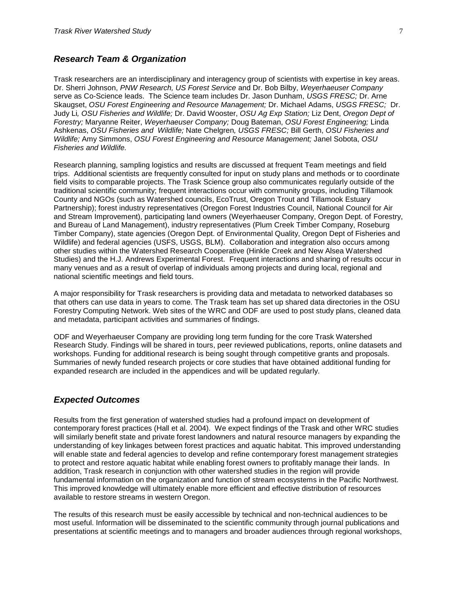# <span id="page-6-0"></span>*Research Team & Organization*

Trask researchers are an interdisciplinary and interagency group of scientists with expertise in key areas. Dr. Sherri Johnson, *PNW Research, US Forest Service* and Dr. Bob Bilby, *Weyerhaeuser Company* serve as Co-Science leads. The Science team includes Dr. Jason Dunham, *USGS FRESC;* Dr. Arne Skaugset, *OSU Forest Engineering and Resource Management;* Dr. Michael Adams, *USGS FRESC;* Dr. Judy Li*, OSU Fisheries and Wildlife;* Dr. David Wooster, *OSU Ag Exp Station;* Liz Dent, *Oregon Dept of Forestry;* Maryanne Reiter, *Weyerhaeuser Company;* Doug Bateman, *OSU Forest Engineering;* Linda Ashkenas, *OSU Fisheries and Wildlife;* Nate Chelgren*, USGS FRESC;* Bill Gerth, *OSU Fisheries and Wildlife;* Amy Simmons, *OSU Forest Engineering and Resource Management;* Janel Sobota, *OSU Fisheries and Wildlife.* 

Research planning, sampling logistics and results are discussed at frequent Team meetings and field trips. Additional scientists are frequently consulted for input on study plans and methods or to coordinate field visits to comparable projects. The Trask Science group also communicates regularly outside of the traditional scientific community; frequent interactions occur with community groups, including Tillamook County and NGOs (such as Watershed councils, EcoTrust, Oregon Trout and Tillamook Estuary Partnership); forest industry representatives (Oregon Forest Industries Council, National Council for Air and Stream Improvement), participating land owners (Weyerhaeuser Company, Oregon Dept. of Forestry, and Bureau of Land Management), industry representatives (Plum Creek Timber Company, Roseburg Timber Company), state agencies (Oregon Dept. of Environmental Quality, Oregon Dept of Fisheries and Wildlife) and federal agencies (USFS, USGS, BLM). Collaboration and integration also occurs among other studies within the Watershed Research Cooperative (Hinkle Creek and New Alsea Watershed Studies) and the H.J. Andrews Experimental Forest. Frequent interactions and sharing of results occur in many venues and as a result of overlap of individuals among projects and during local, regional and national scientific meetings and field tours.

A major responsibility for Trask researchers is providing data and metadata to networked databases so that others can use data in years to come. The Trask team has set up shared data directories in the OSU Forestry Computing Network. Web sites of the WRC and ODF are used to post study plans, cleaned data and metadata, participant activities and summaries of findings.

ODF and Weyerhaeuser Company are providing long term funding for the core Trask Watershed Research Study. Findings will be shared in tours, peer reviewed publications, reports, online datasets and workshops. Funding for additional research is being sought through competitive grants and proposals. Summaries of newly funded research projects or core studies that have obtained additional funding for expanded research are included in the appendices and will be updated regularly.

# <span id="page-6-1"></span>*Expected Outcomes*

Results from the first generation of watershed studies had a profound impact on development of contemporary forest practices (Hall et al. 2004). We expect findings of the Trask and other WRC studies will similarly benefit state and private forest landowners and natural resource managers by expanding the understanding of key linkages between forest practices and aquatic habitat. This improved understanding will enable state and federal agencies to develop and refine contemporary forest management strategies to protect and restore aquatic habitat while enabling forest owners to profitably manage their lands. In addition, Trask research in conjunction with other watershed studies in the region will provide fundamental information on the organization and function of stream ecosystems in the Pacific Northwest. This improved knowledge will ultimately enable more efficient and effective distribution of resources available to restore streams in western Oregon.

The results of this research must be easily accessible by technical and non-technical audiences to be most useful. Information will be disseminated to the scientific community through journal publications and presentations at scientific meetings and to managers and broader audiences through regional workshops,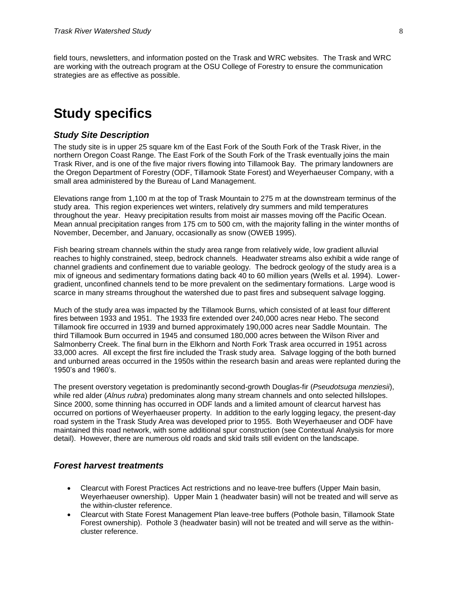field tours, newsletters, and information posted on the Trask and WRC websites. The Trask and WRC are working with the outreach program at the OSU College of Forestry to ensure the communication strategies are as effective as possible.

# <span id="page-7-0"></span>**Study specifics**

# <span id="page-7-1"></span>*Study Site Description*

The study site is in upper 25 square km of the East Fork of the South Fork of the Trask River, in the northern Oregon Coast Range. The East Fork of the South Fork of the Trask eventually joins the main Trask River, and is one of the five major rivers flowing into Tillamook Bay. The primary landowners are the Oregon Department of Forestry (ODF, Tillamook State Forest) and Weyerhaeuser Company, with a small area administered by the Bureau of Land Management.

Elevations range from 1,100 m at the top of Trask Mountain to 275 m at the downstream terminus of the study area. This region experiences wet winters, relatively dry summers and mild temperatures throughout the year. Heavy precipitation results from moist air masses moving off the Pacific Ocean. Mean annual precipitation ranges from 175 cm to 500 cm, with the majority falling in the winter months of November, December, and January, occasionally as snow (OWEB 1995).

Fish bearing stream channels within the study area range from relatively wide, low gradient alluvial reaches to highly constrained, steep, bedrock channels. Headwater streams also exhibit a wide range of channel gradients and confinement due to variable geology. The bedrock geology of the study area is a mix of igneous and sedimentary formations dating back 40 to 60 million years (Wells et al. 1994). Lowergradient, unconfined channels tend to be more prevalent on the sedimentary formations. Large wood is scarce in many streams throughout the watershed due to past fires and subsequent salvage logging.

Much of the study area was impacted by the Tillamook Burns, which consisted of at least four different fires between 1933 and 1951. The 1933 fire extended over 240,000 acres near Hebo. The second Tillamook fire occurred in 1939 and burned approximately 190,000 acres near Saddle Mountain. The third Tillamook Burn occurred in 1945 and consumed 180,000 acres between the Wilson River and Salmonberry Creek. The final burn in the Elkhorn and North Fork Trask area occurred in 1951 across 33,000 acres. All except the first fire included the Trask study area. Salvage logging of the both burned and unburned areas occurred in the 1950s within the research basin and areas were replanted during the 1950's and 1960's.

The present overstory vegetation is predominantly second-growth Douglas-fir (*Pseudotsuga menziesii*), while red alder (*Alnus rubra*) predominates along many stream channels and onto selected hillslopes. Since 2000, some thinning has occurred in ODF lands and a limited amount of clearcut harvest has occurred on portions of Weyerhaeuser property. In addition to the early logging legacy, the present-day road system in the Trask Study Area was developed prior to 1955. Both Weyerhaeuser and ODF have maintained this road network, with some additional spur construction (see Contextual Analysis for more detail). However, there are numerous old roads and skid trails still evident on the landscape.

# <span id="page-7-2"></span>*Forest harvest treatments*

- Clearcut with Forest Practices Act restrictions and no leave-tree buffers (Upper Main basin, Weyerhaeuser ownership). Upper Main 1 (headwater basin) will not be treated and will serve as the within-cluster reference.
- Clearcut with State Forest Management Plan leave-tree buffers (Pothole basin, Tillamook State Forest ownership). Pothole 3 (headwater basin) will not be treated and will serve as the withincluster reference.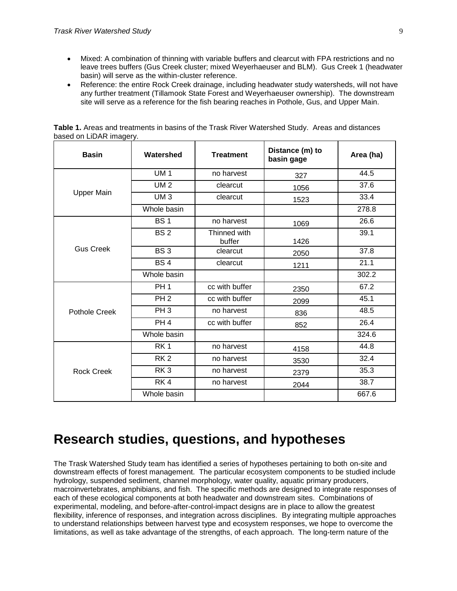- Mixed: A combination of thinning with variable buffers and clearcut with FPA restrictions and no leave trees buffers (Gus Creek cluster; mixed Weyerhaeuser and BLM). Gus Creek 1 (headwater basin) will serve as the within-cluster reference.
- Reference: the entire Rock Creek drainage, including headwater study watersheds, will not have any further treatment (Tillamook State Forest and Weyerhaeuser ownership). The downstream site will serve as a reference for the fish bearing reaches in Pothole, Gus, and Upper Main.

| <b>Basin</b>      | Watershed       | <b>Treatment</b>       | Distance (m) to<br>basin gage | Area (ha) |
|-------------------|-----------------|------------------------|-------------------------------|-----------|
| <b>Upper Main</b> | <b>UM1</b>      | no harvest             | 327                           | 44.5      |
|                   | <b>UM2</b>      | clearcut               | 1056                          | 37.6      |
|                   | UM <sub>3</sub> | clearcut               | 1523                          | 33.4      |
|                   | Whole basin     |                        |                               | 278.8     |
| <b>Gus Creek</b>  | <b>BS1</b>      | no harvest             | 1069                          | 26.6      |
|                   | <b>BS2</b>      | Thinned with<br>buffer | 1426                          | 39.1      |
|                   | BS <sub>3</sub> | clearcut               | 2050                          | 37.8      |
|                   | <b>BS4</b>      | clearcut               | 1211                          | 21.1      |
|                   | Whole basin     |                        |                               | 302.2     |
| Pothole Creek     | PH <sub>1</sub> | cc with buffer         | 2350                          | 67.2      |
|                   | PH <sub>2</sub> | cc with buffer         | 2099                          | 45.1      |
|                   | PH <sub>3</sub> | no harvest             | 836                           | 48.5      |
|                   | PH <sub>4</sub> | cc with buffer         | 852                           | 26.4      |
|                   | Whole basin     |                        |                               | 324.6     |
| Rock Creek        | RK <sub>1</sub> | no harvest             | 4158                          | 44.8      |
|                   | RK <sub>2</sub> | no harvest             | 3530                          | 32.4      |
|                   | RK3             | no harvest             | 2379                          | 35.3      |
|                   | RK4             | no harvest             | 2044                          | 38.7      |
|                   | Whole basin     |                        |                               | 667.6     |

**Table 1.** Areas and treatments in basins of the Trask River Watershed Study. Areas and distances based on LiDAR imagery.

# <span id="page-8-0"></span>**Research studies, questions, and hypotheses**

The Trask Watershed Study team has identified a series of hypotheses pertaining to both on-site and downstream effects of forest management. The particular ecosystem components to be studied include hydrology, suspended sediment, channel morphology, water quality, aquatic primary producers, macroinvertebrates, amphibians, and fish. The specific methods are designed to integrate responses of each of these ecological components at both headwater and downstream sites. Combinations of experimental, modeling, and before-after-control-impact designs are in place to allow the greatest flexibility, inference of responses, and integration across disciplines. By integrating multiple approaches to understand relationships between harvest type and ecosystem responses, we hope to overcome the limitations, as well as take advantage of the strengths, of each approach. The long-term nature of the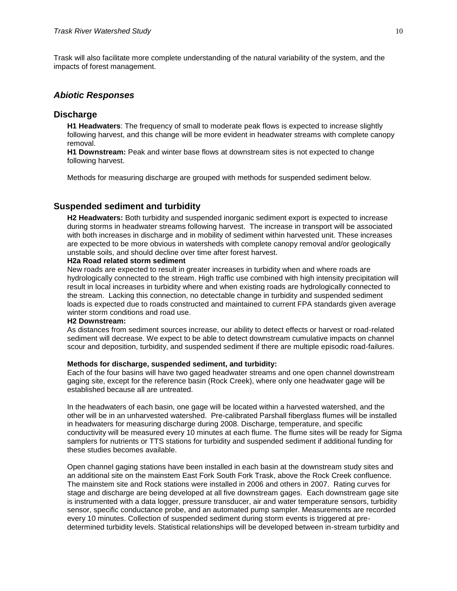Trask will also facilitate more complete understanding of the natural variability of the system, and the impacts of forest management.

# <span id="page-9-0"></span>*Abiotic Responses*

# <span id="page-9-1"></span>**Discharge**

**H1 Headwaters**: The frequency of small to moderate peak flows is expected to increase slightly following harvest, and this change will be more evident in headwater streams with complete canopy removal.

**H1 Downstream:** Peak and winter base flows at downstream sites is not expected to change following harvest.

Methods for measuring discharge are grouped with methods for suspended sediment below.

# <span id="page-9-2"></span>**Suspended sediment and turbidity**

**H2 Headwaters:** Both turbidity and suspended inorganic sediment export is expected to increase during storms in headwater streams following harvest. The increase in transport will be associated with both increases in discharge and in mobility of sediment within harvested unit. These increases are expected to be more obvious in watersheds with complete canopy removal and/or geologically unstable soils, and should decline over time after forest harvest.

### **H2a Road related storm sediment**

New roads are expected to result in greater increases in turbidity when and where roads are hydrologically connected to the stream. High traffic use combined with high intensity precipitation will result in local increases in turbidity where and when existing roads are hydrologically connected to the stream. Lacking this connection, no detectable change in turbidity and suspended sediment loads is expected due to roads constructed and maintained to current FPA standards given average winter storm conditions and road use.

#### **H2 Downstream:**

As distances from sediment sources increase, our ability to detect effects or harvest or road-related sediment will decrease. We expect to be able to detect downstream cumulative impacts on channel scour and deposition, turbidity, and suspended sediment if there are multiple episodic road-failures.

#### **Methods for discharge, suspended sediment, and turbidity:**

Each of the four basins will have two gaged headwater streams and one open channel downstream gaging site, except for the reference basin (Rock Creek), where only one headwater gage will be established because all are untreated.

In the headwaters of each basin, one gage will be located within a harvested watershed, and the other will be in an unharvested watershed. Pre-calibrated Parshall fiberglass flumes will be installed in headwaters for measuring discharge during 2008. Discharge, temperature, and specific conductivity will be measured every 10 minutes at each flume. The flume sites will be ready for Sigma samplers for nutrients or TTS stations for turbidity and suspended sediment if additional funding for these studies becomes available.

Open channel gaging stations have been installed in each basin at the downstream study sites and an additional site on the mainstem East Fork South Fork Trask, above the Rock Creek confluence. The mainstem site and Rock stations were installed in 2006 and others in 2007. Rating curves for stage and discharge are being developed at all five downstream gages. Each downstream gage site is instrumented with a data logger, pressure transducer, air and water temperature sensors, turbidity sensor, specific conductance probe, and an automated pump sampler. Measurements are recorded every 10 minutes. Collection of suspended sediment during storm events is triggered at predetermined turbidity levels. Statistical relationships will be developed between in-stream turbidity and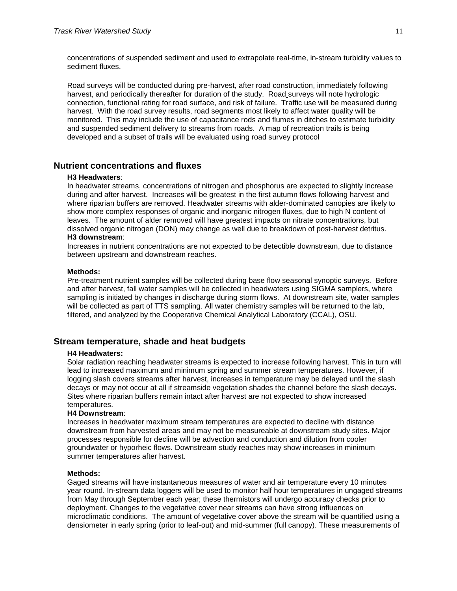concentrations of suspended sediment and used to extrapolate real-time, in-stream turbidity values to sediment fluxes.

Road surveys will be conducted during pre-harvest, after road construction, immediately following harvest, and periodically thereafter for duration of the study. Road surveys will note hydrologic connection, functional rating for road surface, and risk of failure. Traffic use will be measured during harvest. With the road survey results, road segments most likely to affect water quality will be monitored. This may include the use of capacitance rods and flumes in ditches to estimate turbidity and suspended sediment delivery to streams from roads. A map of recreation trails is being developed and a subset of trails will be evaluated using road survey protocol

# <span id="page-10-0"></span>**Nutrient concentrations and fluxes**

### **H3 Headwaters**:

In headwater streams, concentrations of nitrogen and phosphorus are expected to slightly increase during and after harvest. Increases will be greatest in the first autumn flows following harvest and where riparian buffers are removed. Headwater streams with alder-dominated canopies are likely to show more complex responses of organic and inorganic nitrogen fluxes, due to high N content of leaves. The amount of alder removed will have greatest impacts on nitrate concentrations, but dissolved organic nitrogen (DON) may change as well due to breakdown of post-harvest detritus. **H3 downstream**:

Increases in nutrient concentrations are not expected to be detectible downstream, due to distance between upstream and downstream reaches.

#### **Methods:**

Pre-treatment nutrient samples will be collected during base flow seasonal synoptic surveys. Before and after harvest, fall water samples will be collected in headwaters using SIGMA samplers, where sampling is initiated by changes in discharge during storm flows. At downstream site, water samples will be collected as part of TTS sampling. All water chemistry samples will be returned to the lab, filtered, and analyzed by the Cooperative Chemical Analytical Laboratory (CCAL), OSU.

# <span id="page-10-1"></span>**Stream temperature, shade and heat budgets**

### **H4 Headwaters:**

Solar radiation reaching headwater streams is expected to increase following harvest. This in turn will lead to increased maximum and minimum spring and summer stream temperatures. However, if logging slash covers streams after harvest, increases in temperature may be delayed until the slash decays or may not occur at all if streamside vegetation shades the channel before the slash decays. Sites where riparian buffers remain intact after harvest are not expected to show increased temperatures.

#### **H4 Downstream**:

Increases in headwater maximum stream temperatures are expected to decline with distance downstream from harvested areas and may not be measureable at downstream study sites. Major processes responsible for decline will be advection and conduction and dilution from cooler groundwater or hyporheic flows. Downstream study reaches may show increases in minimum summer temperatures after harvest.

#### **Methods:**

Gaged streams will have instantaneous measures of water and air temperature every 10 minutes year round. In-stream data loggers will be used to monitor half hour temperatures in ungaged streams from May through September each year; these thermistors will undergo accuracy checks prior to deployment. Changes to the vegetative cover near streams can have strong influences on microclimatic conditions. The amount of vegetative cover above the stream will be quantified using a densiometer in early spring (prior to leaf-out) and mid-summer (full canopy). These measurements of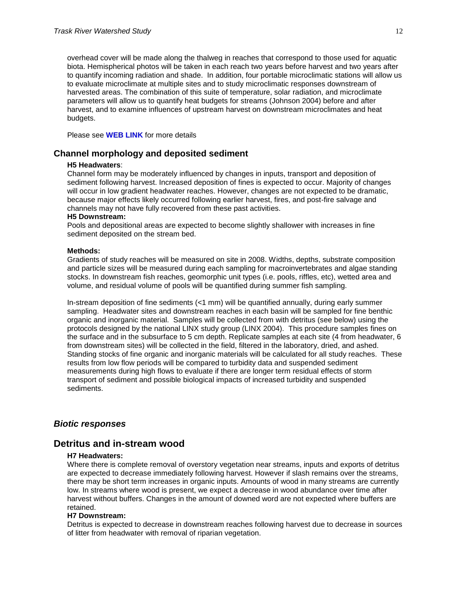overhead cover will be made along the thalweg in reaches that correspond to those used for aquatic biota. Hemispherical photos will be taken in each reach two years before harvest and two years after to quantify incoming radiation and shade. In addition, four portable microclimatic stations will allow us to evaluate microclimate at multiple sites and to study microclimatic responses downstream of harvested areas. The combination of this suite of temperature, solar radiation, and microclimate parameters will allow us to quantify heat budgets for streams (Johnson 2004) before and after harvest, and to examine influences of upstream harvest on downstream microclimates and heat budgets.

Please see **WEB LINK** for more details

# <span id="page-11-0"></span>**Channel morphology and deposited sediment**

#### **H5 Headwaters**:

Channel form may be moderately influenced by changes in inputs, transport and deposition of sediment following harvest. Increased deposition of fines is expected to occur. Majority of changes will occur in low gradient headwater reaches. However, changes are not expected to be dramatic, because major effects likely occurred following earlier harvest, fires, and post-fire salvage and channels may not have fully recovered from these past activities.

#### **H5 Downstream:**

Pools and depositional areas are expected to become slightly shallower with increases in fine sediment deposited on the stream bed.

#### **Methods:**

Gradients of study reaches will be measured on site in 2008. Widths, depths, substrate composition and particle sizes will be measured during each sampling for macroinvertebrates and algae standing stocks. In downstream fish reaches, geomorphic unit types (i.e. pools, riffles, etc), wetted area and volume, and residual volume of pools will be quantified during summer fish sampling.

In-stream deposition of fine sediments (<1 mm) will be quantified annually, during early summer sampling. Headwater sites and downstream reaches in each basin will be sampled for fine benthic organic and inorganic material. Samples will be collected from with detritus (see below) using the protocols designed by the national LINX study group (LINX 2004). This procedure samples fines on the surface and in the subsurface to 5 cm depth. Replicate samples at each site (4 from headwater, 6 from downstream sites) will be collected in the field, filtered in the laboratory, dried, and ashed. Standing stocks of fine organic and inorganic materials will be calculated for all study reaches. These results from low flow periods will be compared to turbidity data and suspended sediment measurements during high flows to evaluate if there are longer term residual effects of storm transport of sediment and possible biological impacts of increased turbidity and suspended sediments.

## <span id="page-11-1"></span>*Biotic responses*

# <span id="page-11-2"></span>**Detritus and in-stream wood**

#### **H7 Headwaters:**

Where there is complete removal of overstory vegetation near streams, inputs and exports of detritus are expected to decrease immediately following harvest. However if slash remains over the streams, there may be short term increases in organic inputs. Amounts of wood in many streams are currently low. In streams where wood is present, we expect a decrease in wood abundance over time after harvest without buffers. Changes in the amount of downed word are not expected where buffers are retained.

#### **H7 Downstream:**

Detritus is expected to decrease in downstream reaches following harvest due to decrease in sources of litter from headwater with removal of riparian vegetation.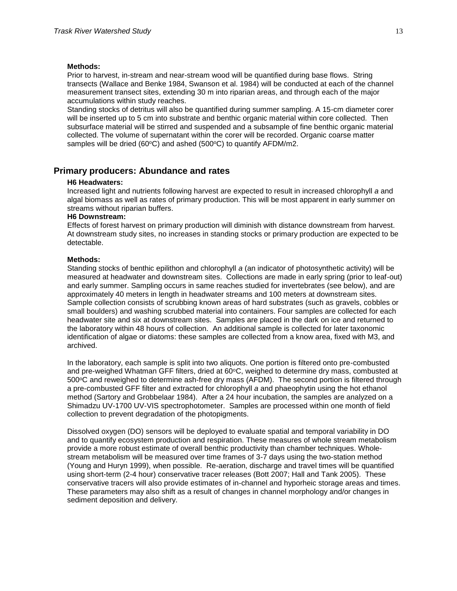#### **Methods:**

Prior to harvest, in-stream and near-stream wood will be quantified during base flows. String transects (Wallace and Benke 1984, Swanson et al. 1984) will be conducted at each of the channel measurement transect sites, extending 30 m into riparian areas, and through each of the major accumulations within study reaches.

Standing stocks of detritus will also be quantified during summer sampling. A 15-cm diameter corer will be inserted up to 5 cm into substrate and benthic organic material within core collected. Then subsurface material will be stirred and suspended and a subsample of fine benthic organic material collected. The volume of supernatant within the corer will be recorded. Organic coarse matter samples will be dried (60 $\textdegree$ C) and ashed (500 $\textdegree$ C) to quantify AFDM/m2.

# <span id="page-12-0"></span>**Primary producers: Abundance and rates**

#### **H6 Headwaters:**

Increased light and nutrients following harvest are expected to result in increased chlorophyll *a* and algal biomass as well as rates of primary production. This will be most apparent in early summer on streams without riparian buffers.

## **H6 Downstream:**

Effects of forest harvest on primary production will diminish with distance downstream from harvest. At downstream study sites, no increases in standing stocks or primary production are expected to be detectable.

#### **Methods:**

Standing stocks of benthic epilithon and chlorophyll *a* (an indicator of photosynthetic activity) will be measured at headwater and downstream sites. Collections are made in early spring (prior to leaf-out) and early summer. Sampling occurs in same reaches studied for invertebrates (see below), and are approximately 40 meters in length in headwater streams and 100 meters at downstream sites. Sample collection consists of scrubbing known areas of hard substrates (such as gravels, cobbles or small boulders) and washing scrubbed material into containers. Four samples are collected for each headwater site and six at downstream sites. Samples are placed in the dark on ice and returned to the laboratory within 48 hours of collection. An additional sample is collected for later taxonomic identification of algae or diatoms: these samples are collected from a know area, fixed with M3, and archived.

In the laboratory, each sample is split into two aliquots. One portion is filtered onto pre-combusted and pre-weighed Whatman GFF filters, dried at  $60^{\circ}$ C, weighed to determine dry mass, combusted at 500°C and reweighed to determine ash-free dry mass (AFDM). The second portion is filtered through a pre-combusted GFF filter and extracted for chlorophyll *a* and phaeophytin using the hot ethanol method (Sartory and Grobbelaar 1984). After a 24 hour incubation, the samples are analyzed on a Shimadzu UV-1700 UV-VIS spectrophotometer. Samples are processed within one month of field collection to prevent degradation of the photopigments.

Dissolved oxygen (DO) sensors will be deployed to evaluate spatial and temporal variability in DO and to quantify ecosystem production and respiration. These measures of whole stream metabolism provide a more robust estimate of overall benthic productivity than chamber techniques. Wholestream metabolism will be measured over time frames of 3-7 days using the two-station method (Young and Huryn 1999), when possible. Re-aeration, discharge and travel times will be quantified using short-term (2-4 hour) conservative tracer releases (Bott 2007; Hall and Tank 2005). These conservative tracers will also provide estimates of in-channel and hyporheic storage areas and times. These parameters may also shift as a result of changes in channel morphology and/or changes in sediment deposition and delivery.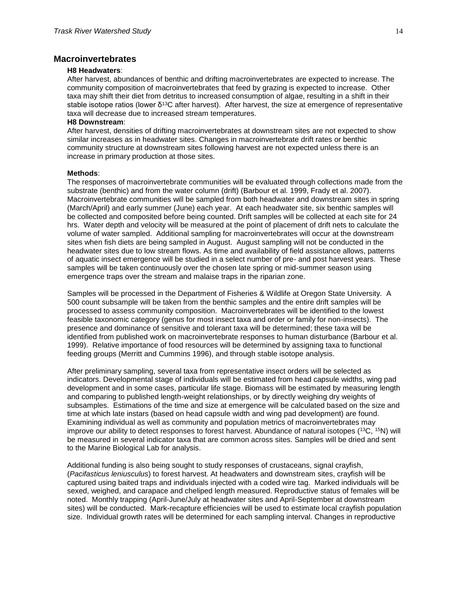# <span id="page-13-0"></span>**Macroinvertebrates**

#### **H8 Headwaters**:

After harvest, abundances of benthic and drifting macroinvertebrates are expected to increase. The community composition of macroinvertebrates that feed by grazing is expected to increase. Other taxa may shift their diet from detritus to increased consumption of algae, resulting in a shift in their stable isotope ratios (lower δ<sup>13</sup>C after harvest). After harvest, the size at emergence of representative taxa will decrease due to increased stream temperatures.

#### **H8 Downstream**:

After harvest, densities of drifting macroinvertebrates at downstream sites are not expected to show similar increases as in headwater sites. Changes in macroinvertebrate drift rates or benthic community structure at downstream sites following harvest are not expected unless there is an increase in primary production at those sites.

#### **Methods**:

The responses of macroinvertebrate communities will be evaluated through collections made from the substrate (benthic) and from the water column (drift) (Barbour et al. 1999, Frady et al. 2007). Macroinvertebrate communities will be sampled from both headwater and downstream sites in spring (March/April) and early summer (June) each year. At each headwater site, six benthic samples will be collected and composited before being counted. Drift samples will be collected at each site for 24 hrs. Water depth and velocity will be measured at the point of placement of drift nets to calculate the volume of water sampled. Additional sampling for macroinvertebrates will occur at the downstream sites when fish diets are being sampled in August. August sampling will not be conducted in the headwater sites due to low stream flows. As time and availability of field assistance allows, patterns of aquatic insect emergence will be studied in a select number of pre- and post harvest years. These samples will be taken continuously over the chosen late spring or mid-summer season using emergence traps over the stream and malaise traps in the riparian zone.

Samples will be processed in the Department of Fisheries & Wildlife at Oregon State University. A 500 count subsample will be taken from the benthic samples and the entire drift samples will be processed to assess community composition. Macroinvertebrates will be identified to the lowest feasible taxonomic category (genus for most insect taxa and order or family for non-insects). The presence and dominance of sensitive and tolerant taxa will be determined; these taxa will be identified from published work on macroinvertebrate responses to human disturbance (Barbour et al. 1999). Relative importance of food resources will be determined by assigning taxa to functional feeding groups (Merritt and Cummins 1996), and through stable isotope analysis.

After preliminary sampling, several taxa from representative insect orders will be selected as indicators. Developmental stage of individuals will be estimated from head capsule widths, wing pad development and in some cases, particular life stage. Biomass will be estimated by measuring length and comparing to published length-weight relationships, or by directly weighing dry weights of subsamples. Estimations of the time and size at emergence will be calculated based on the size and time at which late instars (based on head capsule width and wing pad development) are found. Examining individual as well as community and population metrics of macroinvertebrates may improve our ability to detect responses to forest harvest. Abundance of natural isotopes  $(^{13}C, ^{15}N)$  will be measured in several indicator taxa that are common across sites. Samples will be dried and sent to the Marine Biological Lab for analysis.

Additional funding is also being sought to study responses of crustaceans, signal crayfish, (*Pacifasticus leniusculus*) to forest harvest. At headwaters and downstream sites, crayfish will be captured using baited traps and individuals injected with a coded wire tag. Marked individuals will be sexed, weighed, and carapace and cheliped length measured. Reproductive status of females will be noted. Monthly trapping (April-June/July at headwater sites and April-September at downstream sites) will be conducted. Mark-recapture efficiencies will be used to estimate local crayfish population size. Individual growth rates will be determined for each sampling interval. Changes in reproductive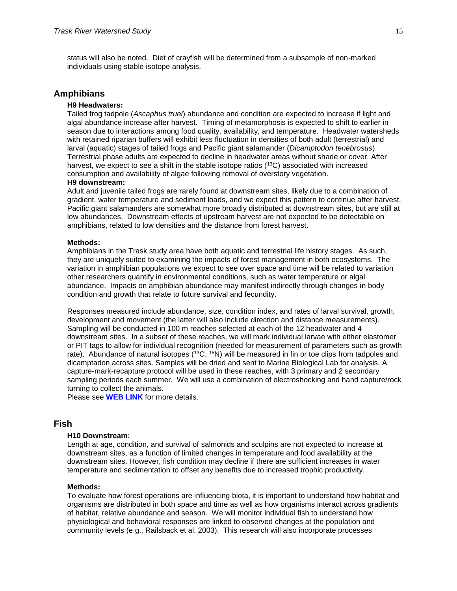status will also be noted. Diet of crayfish will be determined from a subsample of non-marked individuals using stable isotope analysis.

## <span id="page-14-0"></span>**Amphibians**

#### **H9 Headwaters:**

Tailed frog tadpole (*Ascaphus truei*) abundance and condition are expected to increase if light and algal abundance increase after harvest. Timing of metamorphosis is expected to shift to earlier in season due to interactions among food quality, availability, and temperature. Headwater watersheds with retained riparian buffers will exhibit less fluctuation in densities of both adult (terrestrial) and larval (aquatic) stages of tailed frogs and Pacific giant salamander (*Dicamptodon tenebrosus*). Terrestrial phase adults are expected to decline in headwater areas without shade or cover. After harvest, we expect to see a shift in the stable isotope ratios  $(^{13}C)$  associated with increased consumption and availability of algae following removal of overstory vegetation.

## **H9 downstream:**

Adult and juvenile tailed frogs are rarely found at downstream sites, likely due to a combination of gradient, water temperature and sediment loads, and we expect this pattern to continue after harvest. Pacific giant salamanders are somewhat more broadly distributed at downstream sites, but are still at low abundances. Downstream effects of upstream harvest are not expected to be detectable on amphibians, related to low densities and the distance from forest harvest.

#### **Methods:**

Amphibians in the Trask study area have both aquatic and terrestrial life history stages. As such, they are uniquely suited to examining the impacts of forest management in both ecosystems. The variation in amphibian populations we expect to see over space and time will be related to variation other researchers quantify in environmental conditions, such as water temperature or algal abundance. Impacts on amphibian abundance may manifest indirectly through changes in body condition and growth that relate to future survival and fecundity.

Responses measured include abundance, size, condition index, and rates of larval survival, growth, development and movement (the latter will also include direction and distance measurements). Sampling will be conducted in 100 m reaches selected at each of the 12 headwater and 4 downstream sites. In a subset of these reaches, we will mark individual larvae with either elastomer or PIT tags to allow for individual recognition (needed for measurement of parameters such as growth rate). Abundance of natural isotopes (<sup>13</sup>C, <sup>15</sup>N) will be measured in fin or toe clips from tadpoles and dicamptadon across sites. Samples will be dried and sent to Marine Biological Lab for analysis. A capture-mark-recapture protocol will be used in these reaches, with 3 primary and 2 secondary sampling periods each summer. We will use a combination of electroshocking and hand capture/rock turning to collect the animals.

Please see **WEB LINK** for more details.

# <span id="page-14-1"></span>**Fish**

### **H10 Downstream:**

Length at age, condition, and survival of salmonids and sculpins are not expected to increase at downstream sites, as a function of limited changes in temperature and food availability at the downstream sites. However, fish condition may decline if there are sufficient increases in water temperature and sedimentation to offset any benefits due to increased trophic productivity.

#### **Methods:**

To evaluate how forest operations are influencing biota, it is important to understand how habitat and organisms are distributed in both space and time as well as how organisms interact across gradients of habitat, relative abundance and season. We will monitor individual fish to understand how physiological and behavioral responses are linked to observed changes at the population and community levels (e.g., Railsback et al. 2003). This research will also incorporate processes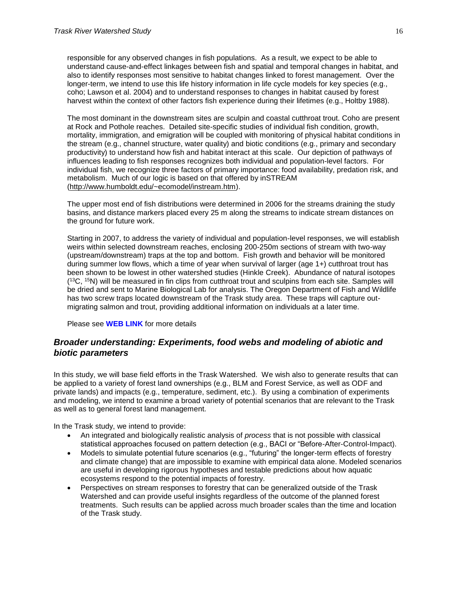responsible for any observed changes in fish populations. As a result, we expect to be able to understand cause-and-effect linkages between fish and spatial and temporal changes in habitat, and also to identify responses most sensitive to habitat changes linked to forest management. Over the longer-term, we intend to use this life history information in life cycle models for key species (e.g., coho; Lawson et al. 2004) and to understand responses to changes in habitat caused by forest harvest within the context of other factors fish experience during their lifetimes (e.g., Holtby 1988).

The most dominant in the downstream sites are sculpin and coastal cutthroat trout. Coho are present at Rock and Pothole reaches. Detailed site-specific studies of individual fish condition, growth, mortality, immigration, and emigration will be coupled with monitoring of physical habitat conditions in the stream (e.g., channel structure, water quality) and biotic conditions (e.g., primary and secondary productivity) to understand how fish and habitat interact at this scale. Our depiction of pathways of influences leading to fish responses recognizes both individual and population-level factors. For individual fish, we recognize three factors of primary importance: food availability, predation risk, and metabolism. Much of our logic is based on that offered by inSTREAM [\(http://www.humboldt.edu/~ecomodel/instream.htm\)](http://www.humboldt.edu/~ecomodel/instream.htm).

The upper most end of fish distributions were determined in 2006 for the streams draining the study basins, and distance markers placed every 25 m along the streams to indicate stream distances on the ground for future work.

Starting in 2007, to address the variety of individual and population-level responses, we will establish weirs within selected downstream reaches, enclosing 200-250m sections of stream with two-way (upstream/downstream) traps at the top and bottom. Fish growth and behavior will be monitored during summer low flows, which a time of year when survival of larger (age 1+) cutthroat trout has been shown to be lowest in other watershed studies (Hinkle Creek). Abundance of natural isotopes ( <sup>13</sup>C, <sup>15</sup>N) will be measured in fin clips from cutthroat trout and sculpins from each site. Samples will be dried and sent to Marine Biological Lab for analysis. The Oregon Department of Fish and Wildlife has two screw traps located downstream of the Trask study area. These traps will capture outmigrating salmon and trout, providing additional information on individuals at a later time.

Please see **WEB LINK** for more details

# <span id="page-15-0"></span>*Broader understanding: Experiments, food webs and modeling of abiotic and biotic parameters*

In this study, we will base field efforts in the Trask Watershed. We wish also to generate results that can be applied to a variety of forest land ownerships (e.g., BLM and Forest Service, as well as ODF and private lands) and impacts (e.g., temperature, sediment, etc.). By using a combination of experiments and modeling, we intend to examine a broad variety of potential scenarios that are relevant to the Trask as well as to general forest land management.

In the Trask study, we intend to provide:

- An integrated and biologically realistic analysis of *process* that is not possible with classical statistical approaches focused on pattern detection (e.g., BACI or "Before-After-Control-Impact).
- Models to simulate potential future scenarios (e.g., "futuring" the longer-term effects of forestry and climate change) that are impossible to examine with empirical data alone. Modeled scenarios are useful in developing rigorous hypotheses and testable predictions about how aquatic ecosystems respond to the potential impacts of forestry.
- Perspectives on stream responses to forestry that can be generalized outside of the Trask Watershed and can provide useful insights regardless of the outcome of the planned forest treatments. Such results can be applied across much broader scales than the time and location of the Trask study.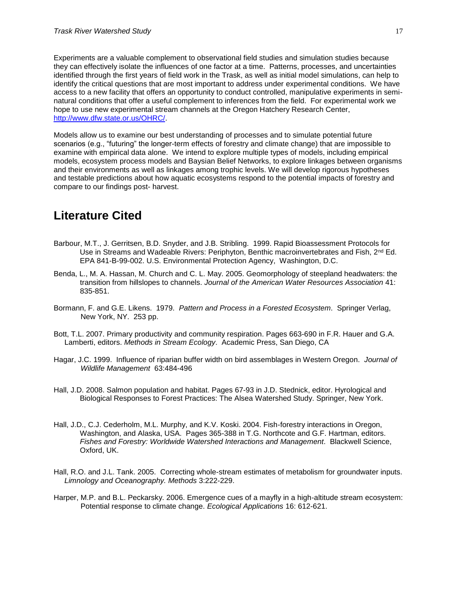Experiments are a valuable complement to observational field studies and simulation studies because they can effectively isolate the influences of one factor at a time. Patterns, processes, and uncertainties identified through the first years of field work in the Trask, as well as initial model simulations, can help to identify the critical questions that are most important to address under experimental conditions. We have access to a new facility that offers an opportunity to conduct controlled, manipulative experiments in seminatural conditions that offer a useful complement to inferences from the field. For experimental work we hope to use new experimental stream channels at the Oregon Hatchery Research Center, [http://www.dfw.state.or.us/OHRC/.](http://www.dfw.state.or.us/OHRC/)

Models allow us to examine our best understanding of processes and to simulate potential future scenarios (e.g., "futuring" the longer-term effects of forestry and climate change) that are impossible to examine with empirical data alone. We intend to explore multiple types of models, including empirical models, ecosystem process models and Baysian Belief Networks, to explore linkages between organisms and their environments as well as linkages among trophic levels. We will develop rigorous hypotheses and testable predictions about how aquatic ecosystems respond to the potential impacts of forestry and compare to our findings post- harvest.

# <span id="page-16-0"></span>**Literature Cited**

- Barbour, M.T., J. Gerritsen, B.D. Snyder, and J.B. Stribling. 1999. Rapid Bioassessment Protocols for Use in Streams and Wadeable Rivers: Periphyton, Benthic macroinvertebrates and Fish, 2<sup>nd</sup> Ed. EPA 841-B-99-002. U.S. Environmental Protection Agency, Washington, D.C.
- Benda, L., M. A. Hassan, M. Church and C. L. May. 2005. Geomorphology of steepland headwaters: the transition from hillslopes to channels. *Journal of the American Water Resources Association* 41: 835-851.
- Bormann, F. and G.E. Likens. 1979. *Pattern and Process in a Forested Ecosystem*. Springer Verlag, New York, NY. 253 pp.
- Bott, T.L. 2007. Primary productivity and community respiration. Pages 663-690 in F.R. Hauer and G.A. Lamberti, editors. *Methods in Stream Ecology*. Academic Press, San Diego, CA
- Hagar, J.C. 1999. Influence of riparian buffer width on bird assemblages in Western Oregon. *Journal of Wildlife Management* 63:484-496
- Hall, J.D. 2008. Salmon population and habitat. Pages 67-93 in J.D. Stednick, editor. Hyrological and Biological Responses to Forest Practices: The Alsea Watershed Study. Springer, New York.
- Hall, J.D., C.J. Cederholm, M.L. Murphy, and K.V. Koski. 2004. Fish-forestry interactions in Oregon, Washington, and Alaska, USA. Pages 365-388 in T.G. Northcote and G.F. Hartman, editors. *Fishes and Forestry: Worldwide Watershed Interactions and Management*. Blackwell Science, Oxford, UK.
- Hall, R.O. and J.L. Tank. 2005. Correcting whole-stream estimates of metabolism for groundwater inputs. *Limnology and Oceanography. Methods* 3:222-229.
- Harper, M.P. and B.L. Peckarsky. 2006. Emergence cues of a mayfly in a high-altitude stream ecosystem: Potential response to climate change. *Ecological Applications* 16: 612-621.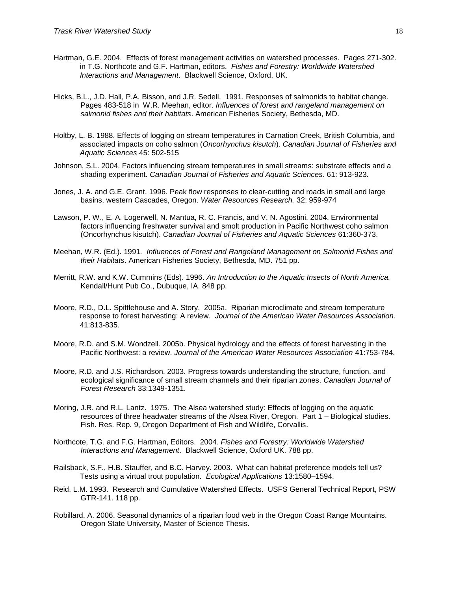- Hartman, G.E. 2004. Effects of forest management activities on watershed processes. Pages 271-302. in T.G. Northcote and G.F. Hartman, editors. *Fishes and Forestry: Worldwide Watershed Interactions and Management*. Blackwell Science, Oxford, UK.
- Hicks, B.L., J.D. Hall, P.A. Bisson, and J.R. Sedell. 1991. Responses of salmonids to habitat change. Pages 483-518 in W.R. Meehan, editor. *Influences of forest and rangeland management on salmonid fishes and their habitats*. American Fisheries Society, Bethesda, MD.
- Holtby, L. B. 1988. Effects of logging on stream temperatures in Carnation Creek, British Columbia, and associated impacts on coho salmon (*Oncorhynchus kisutch*). *Canadian Journal of Fisheries and Aquatic Sciences* 45: 502-515
- Johnson, S.L. 2004. Factors influencing stream temperatures in small streams: substrate effects and a shading experiment. *Canadian Journal of Fisheries and Aquatic Sciences*. 61: 913-923.
- Jones, J. A. and G.E. Grant. 1996. Peak flow responses to clear-cutting and roads in small and large basins, western Cascades, Oregon. *Water Resources Research.* 32: 959-974
- Lawson, P. W., E. A. Logerwell, N. Mantua, R. C. Francis, and V. N. Agostini. 2004. Environmental factors influencing freshwater survival and smolt production in Pacific Northwest coho salmon (Oncorhynchus kisutch). *Canadian Journal of Fisheries and Aquatic Sciences* 61:360-373.
- Meehan, W.R. (Ed.). 1991*. Influences of Forest and Rangeland Management on Salmonid Fishes and their Habitats*. American Fisheries Society, Bethesda, MD. 751 pp.
- Merritt, R.W. and K.W. Cummins (Eds). 1996. *An Introduction to the Aquatic Insects of North America.*  Kendall/Hunt Pub Co., Dubuque, IA. 848 pp.
- Moore, R.D., D.L. Spittlehouse and A. Story. 2005a. Riparian microclimate and stream temperature response to forest harvesting: A review. *Journal of the American Water Resources Association.* 41:813-835.
- Moore, R.D. and S.M. Wondzell. 2005b. Physical hydrology and the effects of forest harvesting in the Pacific Northwest: a review. *Journal of the American Water Resources Association* 41:753-784.
- Moore, R.D. and J.S. Richardson. 2003. [Progress towards understanding the structure, function, and](http://farpoint.forestry.ubc.ca/FP/search/Publication_View.aspx?PUB_ID=3791)  [ecological significance of small stream channels and their riparian zones.](http://farpoint.forestry.ubc.ca/FP/search/Publication_View.aspx?PUB_ID=3791) *Canadian Journal of Forest Research* 33:1349-1351.
- Moring, J.R. and R.L. Lantz. 1975. The Alsea watershed study: Effects of logging on the aquatic resources of three headwater streams of the Alsea River, Oregon. Part 1 – Biological studies. Fish. Res. Rep. 9, Oregon Department of Fish and Wildlife, Corvallis.
- Northcote, T.G. and F.G. Hartman, Editors. 2004. *Fishes and Forestry: Worldwide Watershed Interactions and Management*. Blackwell Science, Oxford UK. 788 pp.
- Railsback, S.F., H.B. Stauffer, and B.C. Harvey. 2003. What can habitat preference models tell us? Tests using a virtual trout population. *Ecological Applications* 13:1580–1594.
- Reid, L.M. 1993. Research and Cumulative Watershed Effects. USFS General Technical Report, PSW GTR-141. 118 pp.
- Robillard, A. 2006. Seasonal dynamics of a riparian food web in the Oregon Coast Range Mountains. Oregon State University, Master of Science Thesis.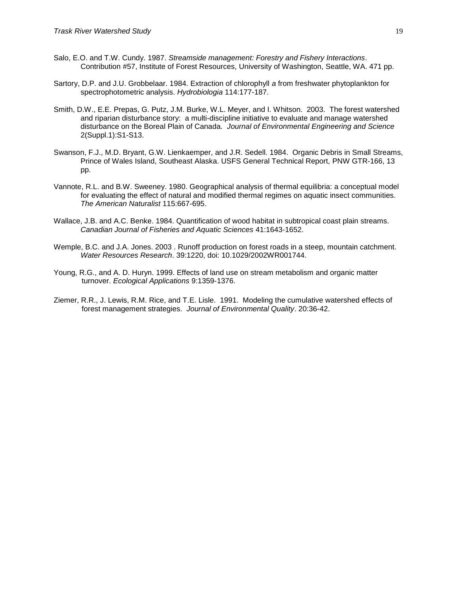- Salo, E.O. and T.W. Cundy. 1987. *Streamside management: Forestry and Fishery Interactions*. Contribution #57, Institute of Forest Resources, University of Washington, Seattle, WA. 471 pp.
- Sartory, D.P. and J.U. Grobbelaar. 1984. Extraction of chlorophyll *a* from freshwater phytoplankton for spectrophotometric analysis. *Hydrobiologia* 114:177-187.
- Smith, D.W., E.E. Prepas, G. Putz, J.M. Burke, W.L. Meyer, and I. Whitson. 2003. The forest watershed and riparian disturbance story: a multi-discipline initiative to evaluate and manage watershed disturbance on the Boreal Plain of Canada. *Journal of Environmental Engineering and Science* 2(Suppl.1):S1-S13.
- Swanson, F.J., M.D. Bryant, G.W. Lienkaemper, and J.R. Sedell. 1984. Organic Debris in Small Streams, Prince of Wales Island, Southeast Alaska. USFS General Technical Report, PNW GTR-166, 13 pp.
- Vannote, R.L. and B.W. Sweeney. 1980. Geographical analysis of thermal equilibria: a conceptual model for evaluating the effect of natural and modified thermal regimes on aquatic insect communities. *The American Naturalist* 115:667-695.
- Wallace, J.B. and A.C. Benke. 1984. Quantification of wood habitat in subtropical coast plain streams. *Canadian Journal of Fisheries and Aquatic Sciences* 41:1643-1652.
- Wemple, B.C. and J.A. Jones. 2003 . Runoff production on forest roads in a steep, mountain catchment. *Water Resources Research*. 39:1220, doi: 10.1029/2002WR001744.
- Young, R.G., and A. D. Huryn. 1999. Effects of land use on stream metabolism and organic matter turnover. *Ecological Applications* 9:1359-1376.
- Ziemer, R.R., J. Lewis, R.M. Rice, and T.E. Lisle. 1991. Modeling the cumulative watershed effects of forest management strategies. *Journal of Environmental Quality*. 20:36-42.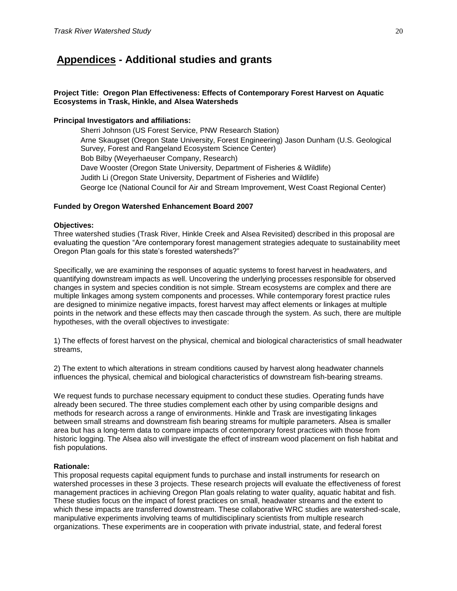# <span id="page-19-0"></span>**Appendices - Additional studies and grants**

## **Project Title: Oregon Plan Effectiveness: Effects of Contemporary Forest Harvest on Aquatic Ecosystems in Trask, Hinkle, and Alsea Watersheds**

## **Principal Investigators and affiliations:**

Sherri Johnson (US Forest Service, PNW Research Station) Arne Skaugset (Oregon State University, Forest Engineering) Jason Dunham (U.S. Geological Survey, Forest and Rangeland Ecosystem Science Center) Bob Bilby (Weyerhaeuser Company, Research) Dave Wooster (Oregon State University, Department of Fisheries & Wildlife) Judith Li (Oregon State University, Department of Fisheries and Wildlife) George Ice (National Council for Air and Stream Improvement, West Coast Regional Center)

## **Funded by Oregon Watershed Enhancement Board 2007**

## **Objectives:**

Three watershed studies (Trask River, Hinkle Creek and Alsea Revisited) described in this proposal are evaluating the question "Are contemporary forest management strategies adequate to sustainability meet Oregon Plan goals for this state's forested watersheds?"

Specifically, we are examining the responses of aquatic systems to forest harvest in headwaters, and quantifying downstream impacts as well. Uncovering the underlying processes responsible for observed changes in system and species condition is not simple. Stream ecosystems are complex and there are multiple linkages among system components and processes. While contemporary forest practice rules are designed to minimize negative impacts, forest harvest may affect elements or linkages at multiple points in the network and these effects may then cascade through the system. As such, there are multiple hypotheses, with the overall objectives to investigate:

1) The effects of forest harvest on the physical, chemical and biological characteristics of small headwater streams,

2) The extent to which alterations in stream conditions caused by harvest along headwater channels influences the physical, chemical and biological characteristics of downstream fish-bearing streams.

We request funds to purchase necessary equipment to conduct these studies. Operating funds have already been secured. The three studies complement each other by using comparible designs and methods for research across a range of environments. Hinkle and Trask are investigating linkages between small streams and downstream fish bearing streams for multiple parameters. Alsea is smaller area but has a long-term data to compare impacts of contemporary forest practices with those from historic logging. The Alsea also will investigate the effect of instream wood placement on fish habitat and fish populations.

## **Rationale:**

This proposal requests capital equipment funds to purchase and install instruments for research on watershed processes in these 3 projects. These research projects will evaluate the effectiveness of forest management practices in achieving Oregon Plan goals relating to water quality, aquatic habitat and fish. These studies focus on the impact of forest practices on small, headwater streams and the extent to which these impacts are transferred downstream. These collaborative WRC studies are watershed-scale, manipulative experiments involving teams of multidisciplinary scientists from multiple research organizations. These experiments are in cooperation with private industrial, state, and federal forest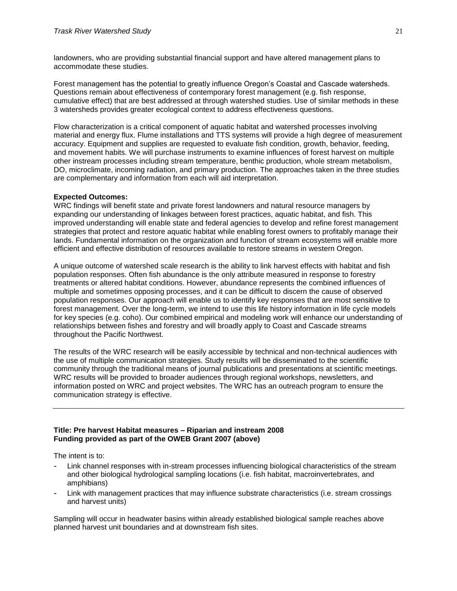landowners, who are providing substantial financial support and have altered management plans to accommodate these studies.

Forest management has the potential to greatly influence Oregon's Coastal and Cascade watersheds. Questions remain about effectiveness of contemporary forest management (e.g. fish response, cumulative effect) that are best addressed at through watershed studies. Use of similar methods in these 3 watersheds provides greater ecological context to address effectiveness questions.

Flow characterization is a critical component of aquatic habitat and watershed processes involving material and energy flux. Flume installations and TTS systems will provide a high degree of measurement accuracy. Equipment and supplies are requested to evaluate fish condition, growth, behavior, feeding, and movement habits. We will purchase instruments to examine influences of forest harvest on multiple other instream processes including stream temperature, benthic production, whole stream metabolism, DO, microclimate, incoming radiation, and primary production. The approaches taken in the three studies are complementary and information from each will aid interpretation.

## **Expected Outcomes:**

WRC findings will benefit state and private forest landowners and natural resource managers by expanding our understanding of linkages between forest practices, aquatic habitat, and fish. This improved understanding will enable state and federal agencies to develop and refine forest management strategies that protect and restore aquatic habitat while enabling forest owners to profitably manage their lands. Fundamental information on the organization and function of stream ecosystems will enable more efficient and effective distribution of resources available to restore streams in western Oregon.

A unique outcome of watershed scale research is the ability to link harvest effects with habitat and fish population responses. Often fish abundance is the only attribute measured in response to forestry treatments or altered habitat conditions. However, abundance represents the combined influences of multiple and sometimes opposing processes, and it can be difficult to discern the cause of observed population responses. Our approach will enable us to identify key responses that are most sensitive to forest management. Over the long-term, we intend to use this life history information in life cycle models for key species (e.g. coho). Our combined empirical and modeling work will enhance our understanding of relationships between fishes and forestry and will broadly apply to Coast and Cascade streams throughout the Pacific Northwest.

The results of the WRC research will be easily accessible by technical and non-technical audiences with the use of multiple communication strategies. Study results will be disseminated to the scientific community through the traditional means of journal publications and presentations at scientific meetings. WRC results will be provided to broader audiences through regional workshops, newsletters, and information posted on WRC and project websites. The WRC has an outreach program to ensure the communication strategy is effective.

## **Title: Pre harvest Habitat measures – Riparian and instream 2008 Funding provided as part of the OWEB Grant 2007 (above)**

The intent is to:

- Link channel responses with in-stream processes influencing biological characteristics of the stream and other biological hydrological sampling locations (i.e. fish habitat, macroinvertebrates, and amphibians)
- Link with management practices that may influence substrate characteristics (i.e. stream crossings and harvest units)

Sampling will occur in headwater basins within already established biological sample reaches above planned harvest unit boundaries and at downstream fish sites.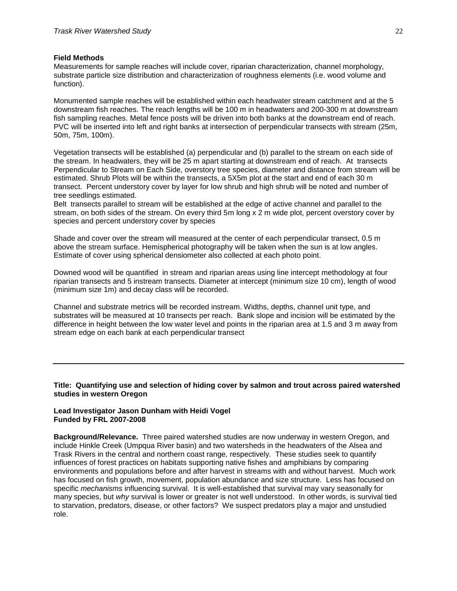#### **Field Methods**

Measurements for sample reaches will include cover, riparian characterization, channel morphology, substrate particle size distribution and characterization of roughness elements (i.e. wood volume and function).

Monumented sample reaches will be established within each headwater stream catchment and at the 5 downstream fish reaches. The reach lengths will be 100 m in headwaters and 200-300 m at downstream fish sampling reaches. Metal fence posts will be driven into both banks at the downstream end of reach. PVC will be inserted into left and right banks at intersection of perpendicular transects with stream (25m, 50m, 75m, 100m).

Vegetation transects will be established (a) perpendicular and (b) parallel to the stream on each side of the stream. In headwaters, they will be 25 m apart starting at downstream end of reach. At transects Perpendicular to Stream on Each Side, overstory tree species, diameter and distance from stream will be estimated. Shrub Plots will be within the transects, a 5X5m plot at the start and end of each 30 m transect. Percent understory cover by layer for low shrub and high shrub will be noted and number of tree seedlings estimated.

Belt transects parallel to stream will be established at the edge of active channel and parallel to the stream, on both sides of the stream. On every third 5m long x 2 m wide plot, percent overstory cover by species and percent understory cover by species

Shade and cover over the stream will measured at the center of each perpendicular transect, 0.5 m above the stream surface. Hemispherical photography will be taken when the sun is at low angles. Estimate of cover using spherical densiometer also collected at each photo point.

Downed wood will be quantified in stream and riparian areas using line intercept methodology at four riparian transects and 5 instream transects. Diameter at intercept (minimum size 10 cm), length of wood (minimum size 1m) and decay class will be recorded.

Channel and substrate metrics will be recorded instream. Widths, depths, channel unit type, and substrates will be measured at 10 transects per reach. Bank slope and incision will be estimated by the difference in height between the low water level and points in the riparian area at 1.5 and 3 m away from stream edge on each bank at each perpendicular transect

## **Title: Quantifying use and selection of hiding cover by salmon and trout across paired watershed studies in western Oregon**

## **Lead Investigator Jason Dunham with Heidi Vogel Funded by FRL 2007-2008**

**Background/Relevance.** Three paired watershed studies are now underway in western Oregon, and include Hinkle Creek (Umpqua River basin) and two watersheds in the headwaters of the Alsea and Trask Rivers in the central and northern coast range, respectively. These studies seek to quantify influences of forest practices on habitats supporting native fishes and amphibians by comparing environments and populations before and after harvest in streams with and without harvest. Much work has focused on fish growth, movement, population abundance and size structure. Less has focused on specific *mechanisms* influencing survival. It is well-established that survival may vary seasonally for many species, but *why* survival is lower or greater is not well understood. In other words, is survival tied to starvation, predators, disease, or other factors? We suspect predators play a major and unstudied role.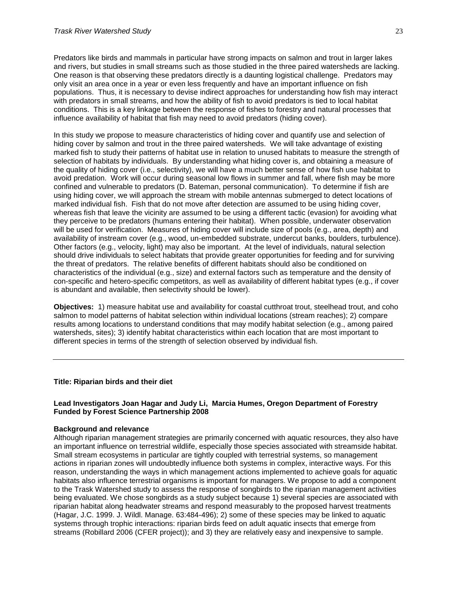Predators like birds and mammals in particular have strong impacts on salmon and trout in larger lakes and rivers, but studies in small streams such as those studied in the three paired watersheds are lacking. One reason is that observing these predators directly is a daunting logistical challenge. Predators may only visit an area once in a year or even less frequently and have an important influence on fish populations. Thus, it is necessary to devise indirect approaches for understanding how fish may interact with predators in small streams, and how the ability of fish to avoid predators is tied to local habitat conditions. This is a key linkage between the response of fishes to forestry and natural processes that influence availability of habitat that fish may need to avoid predators (hiding cover).

In this study we propose to measure characteristics of hiding cover and quantify use and selection of hiding cover by salmon and trout in the three paired watersheds. We will take advantage of existing marked fish to study their patterns of habitat use in relation to unused habitats to measure the strength of selection of habitats by individuals. By understanding what hiding cover is, and obtaining a measure of the quality of hiding cover (i.e., selectivity), we will have a much better sense of how fish use habitat to avoid predation. Work will occur during seasonal low flows in summer and fall, where fish may be more confined and vulnerable to predators (D. Bateman, personal communication). To determine if fish are using hiding cover, we will approach the stream with mobile antennas submerged to detect locations of marked individual fish. Fish that do not move after detection are assumed to be using hiding cover, whereas fish that leave the vicinity are assumed to be using a different tactic (evasion) for avoiding what they perceive to be predators (humans entering their habitat). When possible, underwater observation will be used for verification. Measures of hiding cover will include size of pools (e.g., area, depth) and availability of instream cover (e.g., wood, un-embedded substrate, undercut banks, boulders, turbulence). Other factors (e.g., velocity, light) may also be important. At the level of individuals, natural selection should drive individuals to select habitats that provide greater opportunities for feeding and for surviving the threat of predators. The relative benefits of different habitats should also be conditioned on characteristics of the individual (e.g., size) and external factors such as temperature and the density of con-specific and hetero-specific competitors, as well as availability of different habitat types (e.g., if cover is abundant and available, then selectivity should be lower).

**Objectives:** 1) measure habitat use and availability for coastal cutthroat trout, steelhead trout, and coho salmon to model patterns of habitat selection within individual locations (stream reaches); 2) compare results among locations to understand conditions that may modify habitat selection (e.g., among paired watersheds, sites); 3) identify habitat characteristics within each location that are most important to different species in terms of the strength of selection observed by individual fish.

## **Title: Riparian birds and their diet**

## **Lead Investigators Joan Hagar and Judy Li, Marcia Humes, Oregon Department of Forestry Funded by Forest Science Partnership 2008**

## **Background and relevance**

Although riparian management strategies are primarily concerned with aquatic resources, they also have an important influence on terrestrial wildlife, especially those species associated with streamside habitat. Small stream ecosystems in particular are tightly coupled with terrestrial systems, so management actions in riparian zones will undoubtedly influence both systems in complex, interactive ways. For this reason, understanding the ways in which management actions implemented to achieve goals for aquatic habitats also influence terrestrial organisms is important for managers. We propose to add a component to the Trask Watershed study to assess the response of songbirds to the riparian management activities being evaluated. We chose songbirds as a study subject because 1) several species are associated with riparian habitat along headwater streams and respond measurably to the proposed harvest treatments (Hagar, J.C. 1999. J. Wildl. Manage. 63:484-496); 2) some of these species may be linked to aquatic systems through trophic interactions: riparian birds feed on adult aquatic insects that emerge from streams (Robillard 2006 (CFER project)); and 3) they are relatively easy and inexpensive to sample.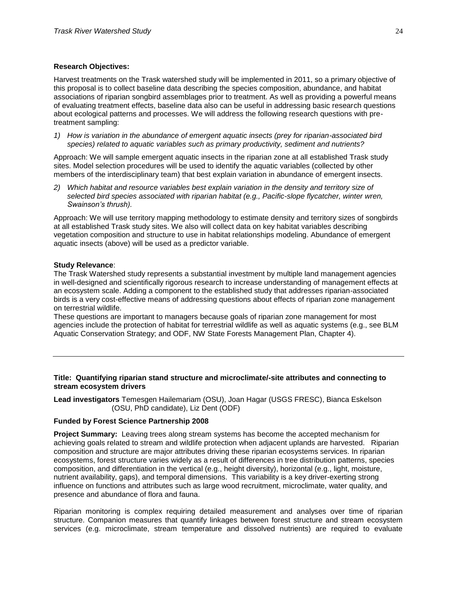### **Research Objectives:**

Harvest treatments on the Trask watershed study will be implemented in 2011, so a primary objective of this proposal is to collect baseline data describing the species composition, abundance, and habitat associations of riparian songbird assemblages prior to treatment. As well as providing a powerful means of evaluating treatment effects, baseline data also can be useful in addressing basic research questions about ecological patterns and processes. We will address the following research questions with pretreatment sampling:

*1) How is variation in the abundance of emergent aquatic insects (prey for riparian-associated bird species) related to aquatic variables such as primary productivity, sediment and nutrients?* 

Approach: We will sample emergent aquatic insects in the riparian zone at all established Trask study sites. Model selection procedures will be used to identify the aquatic variables (collected by other members of the interdisciplinary team) that best explain variation in abundance of emergent insects.

*2) Which habitat and resource variables best explain variation in the density and territory size of selected bird species associated with riparian habitat (e.g., Pacific-slope flycatcher, winter wren, Swainson's thrush).*

Approach: We will use territory mapping methodology to estimate density and territory sizes of songbirds at all established Trask study sites. We also will collect data on key habitat variables describing vegetation composition and structure to use in habitat relationships modeling. Abundance of emergent aquatic insects (above) will be used as a predictor variable.

### **Study Relevance**:

The Trask Watershed study represents a substantial investment by multiple land management agencies in well-designed and scientifically rigorous research to increase understanding of management effects at an ecosystem scale. Adding a component to the established study that addresses riparian-associated birds is a very cost-effective means of addressing questions about effects of riparian zone management on terrestrial wildlife.

These questions are important to managers because goals of riparian zone management for most agencies include the protection of habitat for terrestrial wildlife as well as aquatic systems (e.g., see BLM Aquatic Conservation Strategy; and ODF, NW State Forests Management Plan, Chapter 4).

## **Title: Quantifying riparian stand structure and microclimate/-site attributes and connecting to stream ecosystem drivers**

**Lead investigators** Temesgen Hailemariam (OSU), Joan Hagar (USGS FRESC), Bianca Eskelson (OSU, PhD candidate), Liz Dent (ODF)

#### **Funded by Forest Science Partnership 2008**

**Project Summary:** Leaving trees along stream systems has become the accepted mechanism for achieving goals related to stream and wildlife protection when adjacent uplands are harvested. Riparian composition and structure are major attributes driving these riparian ecosystems services. In riparian ecosystems, forest structure varies widely as a result of differences in tree distribution patterns, species composition, and differentiation in the vertical (e.g., height diversity), horizontal (e.g., light, moisture, nutrient availability, gaps), and temporal dimensions. This variability is a key driver-exerting strong influence on functions and attributes such as large wood recruitment, microclimate, water quality, and presence and abundance of flora and fauna.

Riparian monitoring is complex requiring detailed measurement and analyses over time of riparian structure. Companion measures that quantify linkages between forest structure and stream ecosystem services (e.g. microclimate, stream temperature and dissolved nutrients) are required to evaluate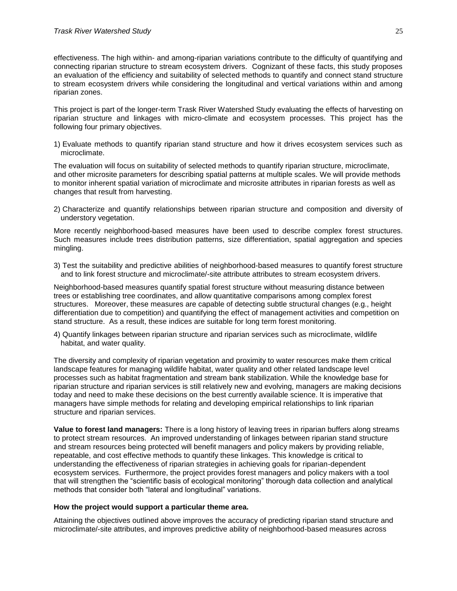effectiveness. The high within- and among-riparian variations contribute to the difficulty of quantifying and connecting riparian structure to stream ecosystem drivers. Cognizant of these facts, this study proposes an evaluation of the efficiency and suitability of selected methods to quantify and connect stand structure to stream ecosystem drivers while considering the longitudinal and vertical variations within and among riparian zones.

This project is part of the longer-term Trask River Watershed Study evaluating the effects of harvesting on riparian structure and linkages with micro-climate and ecosystem processes. This project has the following four primary objectives.

1) Evaluate methods to quantify riparian stand structure and how it drives ecosystem services such as microclimate.

The evaluation will focus on suitability of selected methods to quantify riparian structure, microclimate, and other microsite parameters for describing spatial patterns at multiple scales. We will provide methods to monitor inherent spatial variation of microclimate and microsite attributes in riparian forests as well as changes that result from harvesting.

2) Characterize and quantify relationships between riparian structure and composition and diversity of understory vegetation.

More recently neighborhood-based measures have been used to describe complex forest structures. Such measures include trees distribution patterns, size differentiation, spatial aggregation and species mingling.

3) Test the suitability and predictive abilities of neighborhood-based measures to quantify forest structure and to link forest structure and microclimate/-site attribute attributes to stream ecosystem drivers.

Neighborhood-based measures quantify spatial forest structure without measuring distance between trees or establishing tree coordinates, and allow quantitative comparisons among complex forest structures. Moreover, these measures are capable of detecting subtle structural changes (e.g., height differentiation due to competition) and quantifying the effect of management activities and competition on stand structure. As a result, these indices are suitable for long term forest monitoring.

4) Quantify linkages between riparian structure and riparian services such as microclimate, wildlife habitat, and water quality.

The diversity and complexity of riparian vegetation and proximity to water resources make them critical landscape features for managing wildlife habitat, water quality and other related landscape level processes such as habitat fragmentation and stream bank stabilization. While the knowledge base for riparian structure and riparian services is still relatively new and evolving, managers are making decisions today and need to make these decisions on the best currently available science. It is imperative that managers have simple methods for relating and developing empirical relationships to link riparian structure and riparian services.

**Value to forest land managers:** There is a long history of leaving trees in riparian buffers along streams to protect stream resources. An improved understanding of linkages between riparian stand structure and stream resources being protected will benefit managers and policy makers by providing reliable, repeatable, and cost effective methods to quantify these linkages. This knowledge is critical to understanding the effectiveness of riparian strategies in achieving goals for riparian-dependent ecosystem services. Furthermore, the project provides forest managers and policy makers with a tool that will strengthen the "scientific basis of ecological monitoring" thorough data collection and analytical methods that consider both "lateral and longitudinal" variations.

## **How the project would support a particular theme area.**

Attaining the objectives outlined above improves the accuracy of predicting riparian stand structure and microclimate/-site attributes, and improves predictive ability of neighborhood-based measures across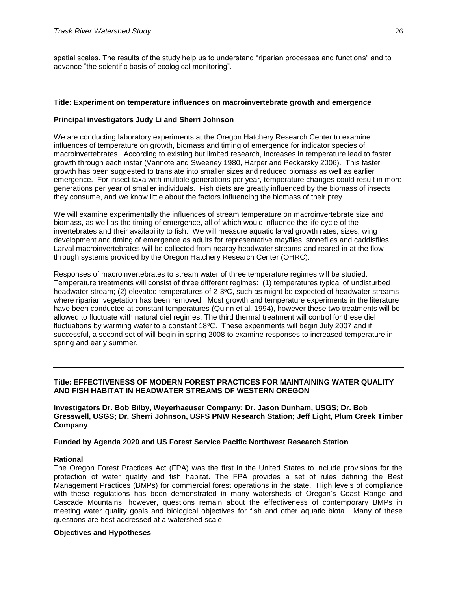spatial scales. The results of the study help us to understand "riparian processes and functions" and to advance "the scientific basis of ecological monitoring".

## **Title: Experiment on temperature influences on macroinvertebrate growth and emergence**

## **Principal investigators Judy Li and Sherri Johnson**

We are conducting laboratory experiments at the Oregon Hatchery Research Center to examine influences of temperature on growth, biomass and timing of emergence for indicator species of macroinvertebrates. According to existing but limited research, increases in temperature lead to faster growth through each instar (Vannote and Sweeney 1980, Harper and Peckarsky 2006). This faster growth has been suggested to translate into smaller sizes and reduced biomass as well as earlier emergence. For insect taxa with multiple generations per year, temperature changes could result in more generations per year of smaller individuals. Fish diets are greatly influenced by the biomass of insects they consume, and we know little about the factors influencing the biomass of their prey.

We will examine experimentally the influences of stream temperature on macroinvertebrate size and biomass, as well as the timing of emergence, all of which would influence the life cycle of the invertebrates and their availability to fish. We will measure aquatic larval growth rates, sizes, wing development and timing of emergence as adults for representative mayflies, stoneflies and caddisflies. Larval macroinvertebrates will be collected from nearby headwater streams and reared in at the flowthrough systems provided by the Oregon Hatchery Research Center (OHRC).

Responses of macroinvertebrates to stream water of three temperature regimes will be studied. Temperature treatments will consist of three different regimes: (1) temperatures typical of undisturbed headwater stream; (2) elevated temperatures of 2-3°C, such as might be expected of headwater streams where riparian vegetation has been removed. Most growth and temperature experiments in the literature have been conducted at constant temperatures (Quinn et al. 1994), however these two treatments will be allowed to fluctuate with natural diel regimes. The third thermal treatment will control for these diel fluctuations by warming water to a constant 18°C. These experiments will begin July 2007 and if successful, a second set of will begin in spring 2008 to examine responses to increased temperature in spring and early summer.

## **Title: EFFECTIVENESS OF MODERN FOREST PRACTICES FOR MAINTAINING WATER QUALITY AND FISH HABITAT IN HEADWATER STREAMS OF WESTERN OREGON**

**Investigators Dr. Bob Bilby, Weyerhaeuser Company; Dr. Jason Dunham, USGS; Dr. Bob Gresswell, USGS; Dr. Sherri Johnson, USFS PNW Research Station; Jeff Light, Plum Creek Timber Company**

#### **Funded by Agenda 2020 and US Forest Service Pacific Northwest Research Station**

## **Rational**

The Oregon Forest Practices Act (FPA) was the first in the United States to include provisions for the protection of water quality and fish habitat. The FPA provides a set of rules defining the Best Management Practices (BMPs) for commercial forest operations in the state. High levels of compliance with these regulations has been demonstrated in many watersheds of Oregon's Coast Range and Cascade Mountains; however, questions remain about the effectiveness of contemporary BMPs in meeting water quality goals and biological objectives for fish and other aquatic biota. Many of these questions are best addressed at a watershed scale.

#### **Objectives and Hypotheses**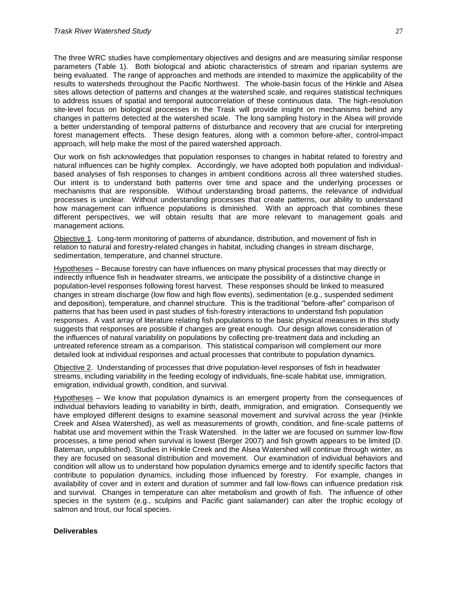The three WRC studies have complementary objectives and designs and are measuring similar response parameters (Table 1). Both biological and abiotic characteristics of stream and riparian systems are being evaluated. The range of approaches and methods are intended to maximize the applicability of the results to watersheds throughout the Pacific Northwest. The whole-basin focus of the Hinkle and Alsea sites allows detection of patterns and changes at the watershed scale, and requires statistical techniques to address issues of spatial and temporal autocorrelation of these continuous data. The high-resolution site-level focus on biological processes in the Trask will provide insight on mechanisms behind any changes in patterns detected at the watershed scale. The long sampling history in the Alsea will provide a better understanding of temporal patterns of disturbance and recovery that are crucial for interpreting forest management effects. These design features, along with a common before-after, control-impact approach, will help make the most of the paired watershed approach.

Our work on fish acknowledges that population responses to changes in habitat related to forestry and natural influences can be highly complex. Accordingly, we have adopted both population and individualbased analyses of fish responses to changes in ambient conditions across all three watershed studies. Our intent is to understand both patterns over time and space and the underlying processes or mechanisms that are responsible. Without understanding broad patterns, the relevance of individual processes is unclear. Without understanding processes that create patterns, our ability to understand how management can influence populations is diminished. With an approach that combines these different perspectives, we will obtain results that are more relevant to management goals and management actions.

Objective 1. Long-term monitoring of patterns of abundance, distribution, and movement of fish in relation to natural and forestry-related changes in habitat, including changes in stream discharge, sedimentation, temperature, and channel structure.

Hypotheses – Because forestry can have influences on many physical processes that may directly or indirectly influence fish in headwater streams, we anticipate the possibility of a distinctive change in population-level responses following forest harvest. These responses should be linked to measured changes in stream discharge (low flow and high flow events), sedimentation (e.g., suspended sediment and deposition), temperature, and channel structure. This is the traditional "before-after" comparison of patterns that has been used in past studies of fish-forestry interactions to understand fish population responses. A vast array of literature relating fish populations to the basic physical measures in this study suggests that responses are possible if changes are great enough. Our design allows consideration of the influences of natural variability on populations by collecting pre-treatment data and including an untreated reference stream as a comparison. This statistical comparison will complement our more detailed look at individual responses and actual processes that contribute to population dynamics.

Objective 2. Understanding of processes that drive population-level responses of fish in headwater streams, including variability in the feeding ecology of individuals, fine-scale habitat use, immigration, emigration, individual growth, condition, and survival.

Hypotheses – We know that population dynamics is an emergent property from the consequences of individual behaviors leading to variability in birth, death, immigration, and emigration. Consequently we have employed different designs to examine seasonal movement and survival across the year (Hinkle Creek and Alsea Watershed), as well as measurements of growth, condition, and fine-scale patterns of habitat use and movement within the Trask Watershed. In the latter we are focused on summer low-flow processes, a time period when survival is lowest (Berger 2007) and fish growth appears to be limited (D. Bateman, unpublished). Studies in Hinkle Creek and the Alsea Watershed will continue through winter, as they are focused on seasonal distribution and movement. Our examination of individual behaviors and condition will allow us to understand how population dynamics emerge and to identify specific factors that contribute to population dynamics, including those influenced by forestry. For example, changes in availability of cover and in extent and duration of summer and fall low-flows can influence predation risk and survival. Changes in temperature can alter metabolism and growth of fish. The influence of other species in the system (e.g., sculpins and Pacific giant salamander) can alter the trophic ecology of salmon and trout, our focal species.

## **Deliverables**